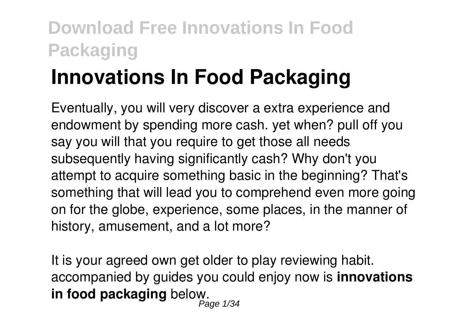# **Innovations In Food Packaging**

Eventually, you will very discover a extra experience and endowment by spending more cash. yet when? pull off you say you will that you require to get those all needs subsequently having significantly cash? Why don't you attempt to acquire something basic in the beginning? That's something that will lead you to comprehend even more going on for the globe, experience, some places, in the manner of history, amusement, and a lot more?

It is your agreed own get older to play reviewing habit. accompanied by guides you could enjoy now is **innovations in food packaging** below. Page 1/34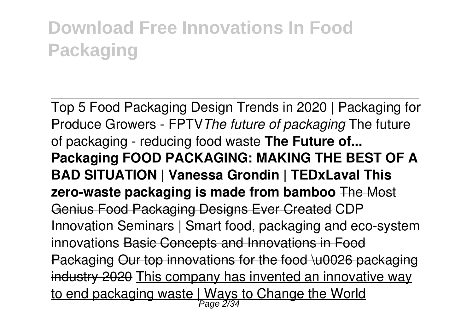Top 5 Food Packaging Design Trends in 2020 | Packaging for Produce Growers - FPTV*The future of packaging* The future of packaging - reducing food waste **The Future of... Packaging FOOD PACKAGING: MAKING THE BEST OF A BAD SITUATION | Vanessa Grondin | TEDxLaval This zero-waste packaging is made from bamboo** The Most Genius Food Packaging Designs Ever Created CDP Innovation Seminars | Smart food, packaging and eco-system innovations Basic Concepts and Innovations in Food Packaging Our top innovations for the food \u0026 packaging industry 2020 This company has invented an innovative way <u>to end packaging waste | Ways to Change the World</u>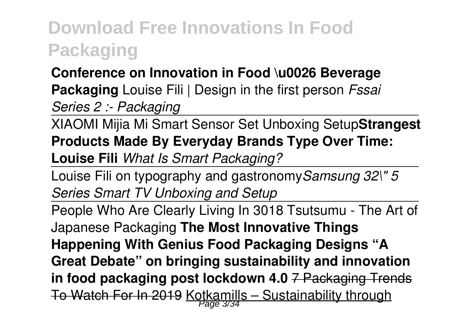#### **Conference on Innovation in Food \u0026 Beverage Packaging** Louise Fili | Design in the first person *Fssai Series 2 :- Packaging*

XIAOMI Mijia Mi Smart Sensor Set Unboxing Setup**Strangest Products Made By Everyday Brands Type Over Time: Louise Fili** *What Is Smart Packaging?*

Louise Fili on typography and gastronomy*Samsung 32\" 5 Series Smart TV Unboxing and Setup*

People Who Are Clearly Living In 3018 Tsutsumu - The Art of Japanese Packaging **The Most Innovative Things Happening With Genius Food Packaging Designs "A Great Debate" on bringing sustainability and innovation in food packaging post lockdown 4.0** 7 Packaging Trends To Watch For In 2019 Kotkamills – Sustainability through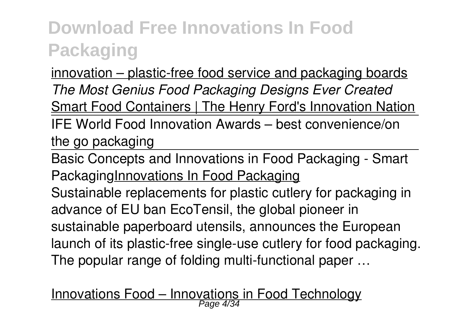innovation – plastic-free food service and packaging boards *The Most Genius Food Packaging Designs Ever Created* Smart Food Containers | The Henry Ford's Innovation Nation IFE World Food Innovation Awards – best convenience/on the go packaging

Basic Concepts and Innovations in Food Packaging - Smart PackagingInnovations In Food Packaging

Sustainable replacements for plastic cutlery for packaging in advance of EU ban EcoTensil, the global pioneer in sustainable paperboard utensils, announces the European launch of its plastic-free single-use cutlery for food packaging. The popular range of folding multi-functional paper …

# Innovations Food – Innovations in Food Technology Page 4/34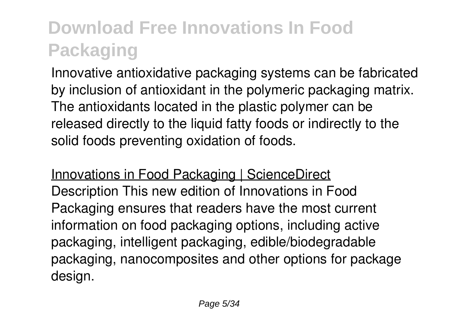Innovative antioxidative packaging systems can be fabricated by inclusion of antioxidant in the polymeric packaging matrix. The antioxidants located in the plastic polymer can be released directly to the liquid fatty foods or indirectly to the solid foods preventing oxidation of foods.

Innovations in Food Packaging | ScienceDirect Description This new edition of Innovations in Food Packaging ensures that readers have the most current information on food packaging options, including active packaging, intelligent packaging, edible/biodegradable packaging, nanocomposites and other options for package design.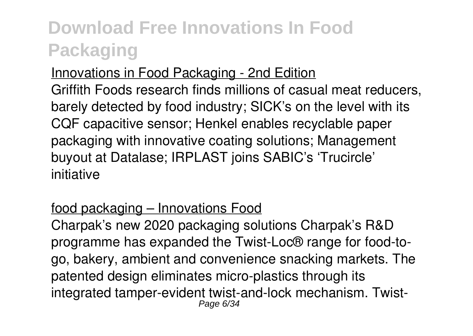#### Innovations in Food Packaging - 2nd Edition

Griffith Foods research finds millions of casual meat reducers, barely detected by food industry; SICK's on the level with its CQF capacitive sensor; Henkel enables recyclable paper packaging with innovative coating solutions; Management buyout at Datalase; IRPLAST joins SABIC's 'Trucircle' initiative

#### food packaging – Innovations Food

Charpak's new 2020 packaging solutions Charpak's R&D programme has expanded the Twist-Loc® range for food-togo, bakery, ambient and convenience snacking markets. The patented design eliminates micro-plastics through its integrated tamper-evident twist-and-lock mechanism. Twist-Page 6/34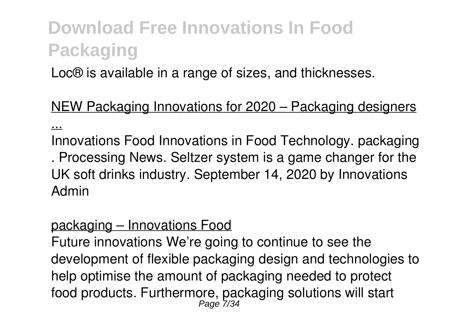Loc® is available in a range of sizes, and thicknesses.

NEW Packaging Innovations for 2020 – Packaging designers ...

Innovations Food Innovations in Food Technology. packaging . Processing News. Seltzer system is a game changer for the UK soft drinks industry. September 14, 2020 by Innovations Admin

#### packaging – Innovations Food

Future innovations We're going to continue to see the development of flexible packaging design and technologies to help optimise the amount of packaging needed to protect food products. Furthermore, packaging solutions will start<br>Page 7/34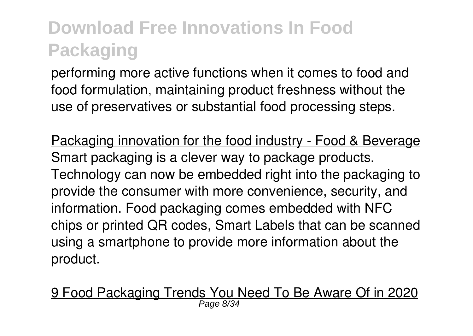performing more active functions when it comes to food and food formulation, maintaining product freshness without the use of preservatives or substantial food processing steps.

Packaging innovation for the food industry - Food & Beverage Smart packaging is a clever way to package products. Technology can now be embedded right into the packaging to provide the consumer with more convenience, security, and information. Food packaging comes embedded with NFC chips or printed QR codes, Smart Labels that can be scanned using a smartphone to provide more information about the product.

9 Food Packaging Trends You Need To Be Aware Of in 2020 Page 8/34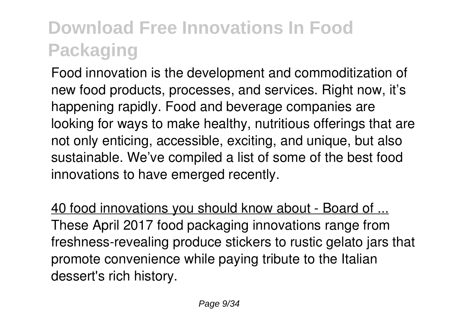Food innovation is the development and commoditization of new food products, processes, and services. Right now, it's happening rapidly. Food and beverage companies are looking for ways to make healthy, nutritious offerings that are not only enticing, accessible, exciting, and unique, but also sustainable. We've compiled a list of some of the best food innovations to have emerged recently.

40 food innovations you should know about - Board of ... These April 2017 food packaging innovations range from freshness-revealing produce stickers to rustic gelato jars that promote convenience while paying tribute to the Italian dessert's rich history.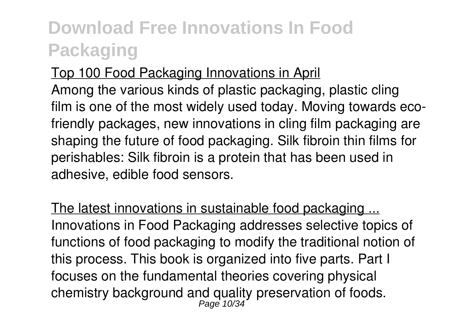Top 100 Food Packaging Innovations in April Among the various kinds of plastic packaging, plastic cling film is one of the most widely used today. Moving towards ecofriendly packages, new innovations in cling film packaging are shaping the future of food packaging. Silk fibroin thin films for perishables: Silk fibroin is a protein that has been used in adhesive, edible food sensors.

The latest innovations in sustainable food packaging ... Innovations in Food Packaging addresses selective topics of functions of food packaging to modify the traditional notion of this process. This book is organized into five parts. Part I focuses on the fundamental theories covering physical chemistry background and quality preservation of foods. Page 10/34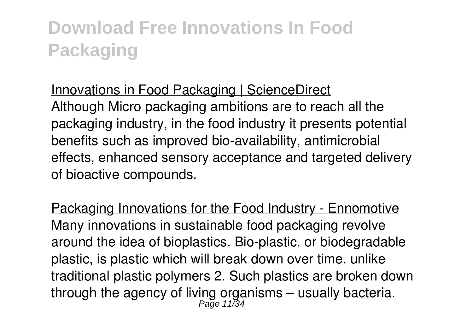#### Innovations in Food Packaging | ScienceDirect

Although Micro packaging ambitions are to reach all the packaging industry, in the food industry it presents potential benefits such as improved bio-availability, antimicrobial effects, enhanced sensory acceptance and targeted delivery of bioactive compounds.

Packaging Innovations for the Food Industry - Ennomotive Many innovations in sustainable food packaging revolve around the idea of bioplastics. Bio-plastic, or biodegradable plastic, is plastic which will break down over time, unlike traditional plastic polymers 2. Such plastics are broken down through the agency of living organisms – usually bacteria.<br> $P_{\text{age 11/34}}$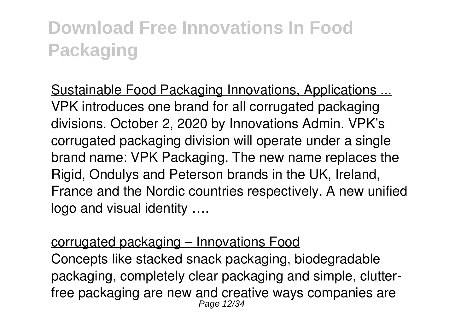Sustainable Food Packaging Innovations, Applications ... VPK introduces one brand for all corrugated packaging divisions. October 2, 2020 by Innovations Admin. VPK's corrugated packaging division will operate under a single brand name: VPK Packaging. The new name replaces the Rigid, Ondulys and Peterson brands in the UK, Ireland, France and the Nordic countries respectively. A new unified logo and visual identity ….

#### corrugated packaging – Innovations Food Concepts like stacked snack packaging, biodegradable packaging, completely clear packaging and simple, clutterfree packaging are new and creative ways companies are Page 12/34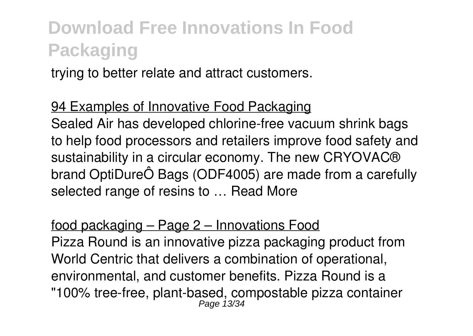trying to better relate and attract customers.

94 Examples of Innovative Food Packaging Sealed Air has developed chlorine-free vacuum shrink bags to help food processors and retailers improve food safety and sustainability in a circular economy. The new CRYOVAC® brand OptiDureÔ Bags (ODF4005) are made from a carefully selected range of resins to … Read More

#### food packaging – Page 2 – Innovations Food

Pizza Round is an innovative pizza packaging product from World Centric that delivers a combination of operational, environmental, and customer benefits. Pizza Round is a "100% tree-free, plant-based, compostable pizza container Page 13/34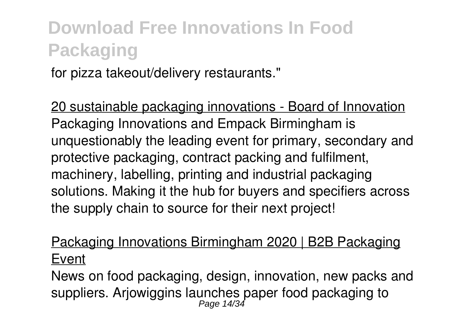for pizza takeout/delivery restaurants."

20 sustainable packaging innovations - Board of Innovation Packaging Innovations and Empack Birmingham is unquestionably the leading event for primary, secondary and protective packaging, contract packing and fulfilment, machinery, labelling, printing and industrial packaging solutions. Making it the hub for buyers and specifiers across the supply chain to source for their next project!

#### Packaging Innovations Birmingham 2020 | B2B Packaging Event

News on food packaging, design, innovation, new packs and suppliers. Arjowiggins launches paper food packaging to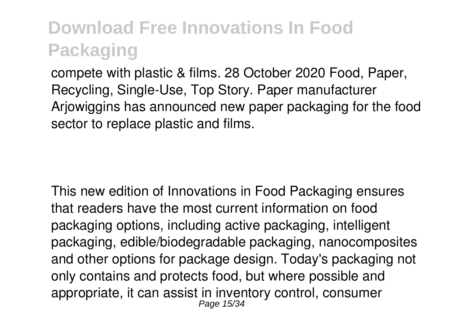compete with plastic & films. 28 October 2020 Food, Paper, Recycling, Single-Use, Top Story. Paper manufacturer Arjowiggins has announced new paper packaging for the food sector to replace plastic and films.

This new edition of Innovations in Food Packaging ensures that readers have the most current information on food packaging options, including active packaging, intelligent packaging, edible/biodegradable packaging, nanocomposites and other options for package design. Today's packaging not only contains and protects food, but where possible and appropriate, it can assist in inventory control, consumer Page 15/34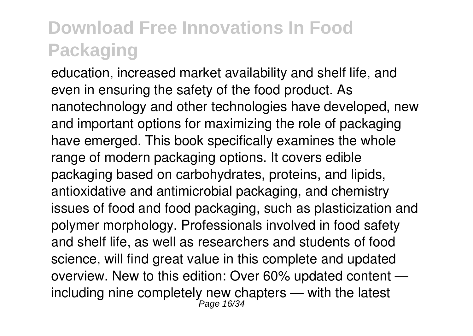education, increased market availability and shelf life, and even in ensuring the safety of the food product. As nanotechnology and other technologies have developed, new and important options for maximizing the role of packaging have emerged. This book specifically examines the whole range of modern packaging options. It covers edible packaging based on carbohydrates, proteins, and lipids, antioxidative and antimicrobial packaging, and chemistry issues of food and food packaging, such as plasticization and polymer morphology. Professionals involved in food safety and shelf life, as well as researchers and students of food science, will find great value in this complete and updated overview. New to this edition: Over 60% updated content including nine completely new chapters — with the latest Page 16/34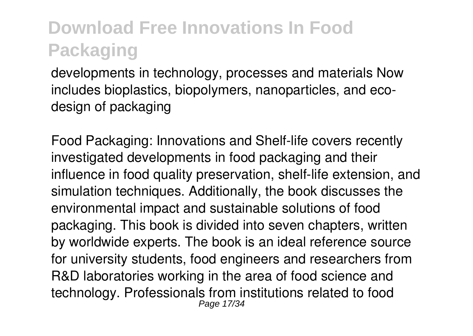developments in technology, processes and materials Now includes bioplastics, biopolymers, nanoparticles, and ecodesign of packaging

Food Packaging: Innovations and Shelf-life covers recently investigated developments in food packaging and their influence in food quality preservation, shelf-life extension, and simulation techniques. Additionally, the book discusses the environmental impact and sustainable solutions of food packaging. This book is divided into seven chapters, written by worldwide experts. The book is an ideal reference source for university students, food engineers and researchers from R&D laboratories working in the area of food science and technology. Professionals from institutions related to food Page 17/34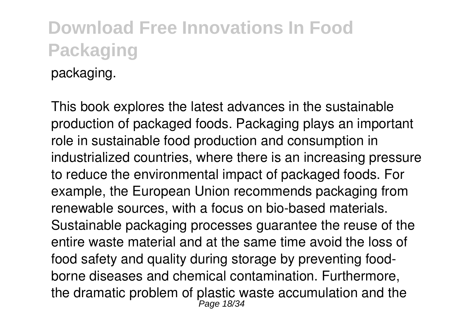#### **Download Free Innovations In Food Packaging** packaging.

This book explores the latest advances in the sustainable production of packaged foods. Packaging plays an important role in sustainable food production and consumption in industrialized countries, where there is an increasing pressure to reduce the environmental impact of packaged foods. For example, the European Union recommends packaging from renewable sources, with a focus on bio-based materials. Sustainable packaging processes guarantee the reuse of the entire waste material and at the same time avoid the loss of food safety and quality during storage by preventing foodborne diseases and chemical contamination. Furthermore, the dramatic problem of plastic waste accumulation and the  $P_{\text{age 18/34}}$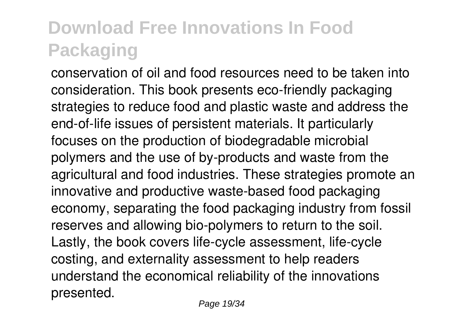conservation of oil and food resources need to be taken into consideration. This book presents eco-friendly packaging strategies to reduce food and plastic waste and address the end-of-life issues of persistent materials. It particularly focuses on the production of biodegradable microbial polymers and the use of by-products and waste from the agricultural and food industries. These strategies promote an innovative and productive waste-based food packaging economy, separating the food packaging industry from fossil reserves and allowing bio-polymers to return to the soil. Lastly, the book covers life-cycle assessment, life-cycle costing, and externality assessment to help readers understand the economical reliability of the innovations presented.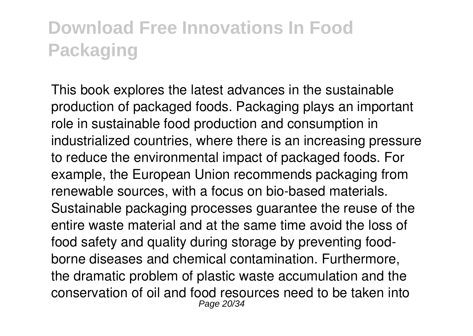This book explores the latest advances in the sustainable production of packaged foods. Packaging plays an important role in sustainable food production and consumption in industrialized countries, where there is an increasing pressure to reduce the environmental impact of packaged foods. For example, the European Union recommends packaging from renewable sources, with a focus on bio-based materials. Sustainable packaging processes guarantee the reuse of the entire waste material and at the same time avoid the loss of food safety and quality during storage by preventing foodborne diseases and chemical contamination. Furthermore, the dramatic problem of plastic waste accumulation and the conservation of oil and food resources need to be taken into Page 20/34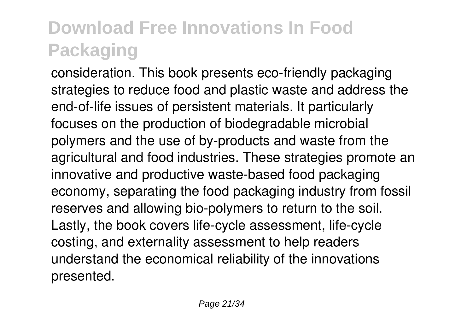consideration. This book presents eco-friendly packaging strategies to reduce food and plastic waste and address the end-of-life issues of persistent materials. It particularly focuses on the production of biodegradable microbial polymers and the use of by-products and waste from the agricultural and food industries. These strategies promote an innovative and productive waste-based food packaging economy, separating the food packaging industry from fossil reserves and allowing bio-polymers to return to the soil. Lastly, the book covers life-cycle assessment, life-cycle costing, and externality assessment to help readers understand the economical reliability of the innovations presented.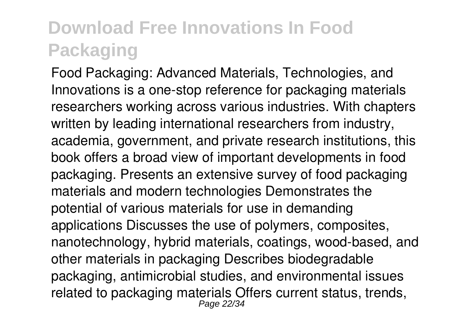Food Packaging: Advanced Materials, Technologies, and Innovations is a one-stop reference for packaging materials researchers working across various industries. With chapters written by leading international researchers from industry, academia, government, and private research institutions, this book offers a broad view of important developments in food packaging. Presents an extensive survey of food packaging materials and modern technologies Demonstrates the potential of various materials for use in demanding applications Discusses the use of polymers, composites, nanotechnology, hybrid materials, coatings, wood-based, and other materials in packaging Describes biodegradable packaging, antimicrobial studies, and environmental issues related to packaging materials Offers current status, trends, Page 22/34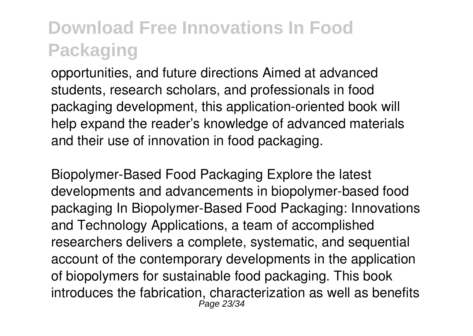opportunities, and future directions Aimed at advanced students, research scholars, and professionals in food packaging development, this application-oriented book will help expand the reader's knowledge of advanced materials and their use of innovation in food packaging.

Biopolymer-Based Food Packaging Explore the latest developments and advancements in biopolymer-based food packaging In Biopolymer-Based Food Packaging: Innovations and Technology Applications, a team of accomplished researchers delivers a complete, systematic, and sequential account of the contemporary developments in the application of biopolymers for sustainable food packaging. This book introduces the fabrication, characterization as well as benefits Page 23/34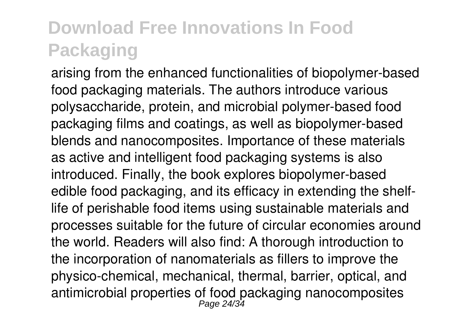arising from the enhanced functionalities of biopolymer-based food packaging materials. The authors introduce various polysaccharide, protein, and microbial polymer-based food packaging films and coatings, as well as biopolymer-based blends and nanocomposites. Importance of these materials as active and intelligent food packaging systems is also introduced. Finally, the book explores biopolymer-based edible food packaging, and its efficacy in extending the shelflife of perishable food items using sustainable materials and processes suitable for the future of circular economies around the world. Readers will also find: A thorough introduction to the incorporation of nanomaterials as fillers to improve the physico-chemical, mechanical, thermal, barrier, optical, and antimicrobial properties of food packaging nanocomposites<br>Page 24/34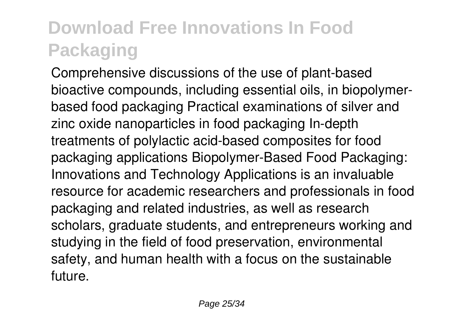Comprehensive discussions of the use of plant-based bioactive compounds, including essential oils, in biopolymerbased food packaging Practical examinations of silver and zinc oxide nanoparticles in food packaging In-depth treatments of polylactic acid-based composites for food packaging applications Biopolymer-Based Food Packaging: Innovations and Technology Applications is an invaluable resource for academic researchers and professionals in food packaging and related industries, as well as research scholars, graduate students, and entrepreneurs working and studying in the field of food preservation, environmental safety, and human health with a focus on the sustainable future.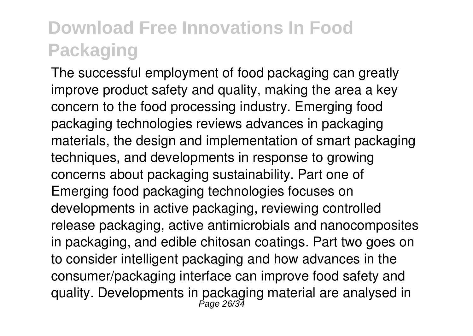The successful employment of food packaging can greatly improve product safety and quality, making the area a key concern to the food processing industry. Emerging food packaging technologies reviews advances in packaging materials, the design and implementation of smart packaging techniques, and developments in response to growing concerns about packaging sustainability. Part one of Emerging food packaging technologies focuses on developments in active packaging, reviewing controlled release packaging, active antimicrobials and nanocomposites in packaging, and edible chitosan coatings. Part two goes on to consider intelligent packaging and how advances in the consumer/packaging interface can improve food safety and quality. Developments in packaging material are analysed in<br>Page 26/34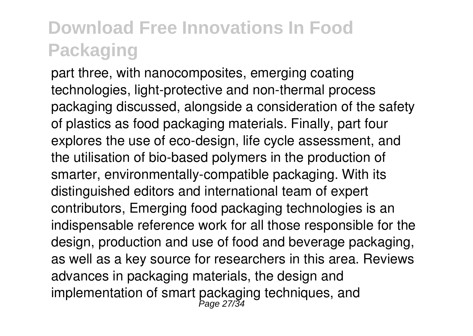part three, with nanocomposites, emerging coating technologies, light-protective and non-thermal process packaging discussed, alongside a consideration of the safety of plastics as food packaging materials. Finally, part four explores the use of eco-design, life cycle assessment, and the utilisation of bio-based polymers in the production of smarter, environmentally-compatible packaging. With its distinguished editors and international team of expert contributors, Emerging food packaging technologies is an indispensable reference work for all those responsible for the design, production and use of food and beverage packaging, as well as a key source for researchers in this area. Reviews advances in packaging materials, the design and implementation of smart packaging techniques, and<br>
<sub>Page 27/34</sub>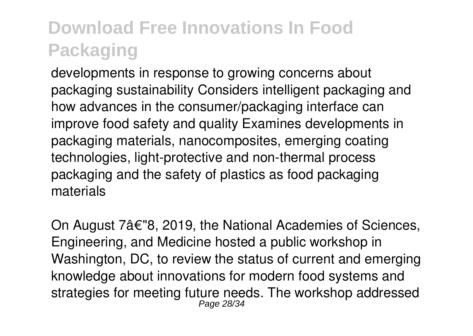developments in response to growing concerns about packaging sustainability Considers intelligent packaging and how advances in the consumer/packaging interface can improve food safety and quality Examines developments in packaging materials, nanocomposites, emerging coating technologies, light-protective and non-thermal process packaging and the safety of plastics as food packaging materials

On August 7â€"8, 2019, the National Academies of Sciences, Engineering, and Medicine hosted a public workshop in Washington, DC, to review the status of current and emerging knowledge about innovations for modern food systems and strategies for meeting future needs. The workshop addressed Page 28/34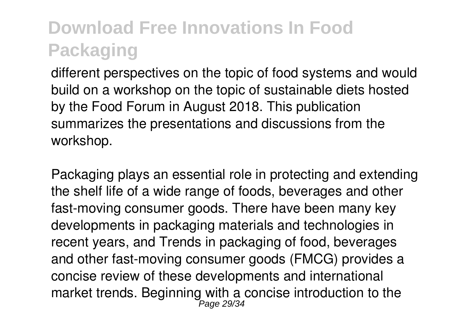different perspectives on the topic of food systems and would build on a workshop on the topic of sustainable diets hosted by the Food Forum in August 2018. This publication summarizes the presentations and discussions from the workshop.

Packaging plays an essential role in protecting and extending the shelf life of a wide range of foods, beverages and other fast-moving consumer goods. There have been many key developments in packaging materials and technologies in recent years, and Trends in packaging of food, beverages and other fast-moving consumer goods (FMCG) provides a concise review of these developments and international market trends. Beginning with a concise introduction to the Page 29/34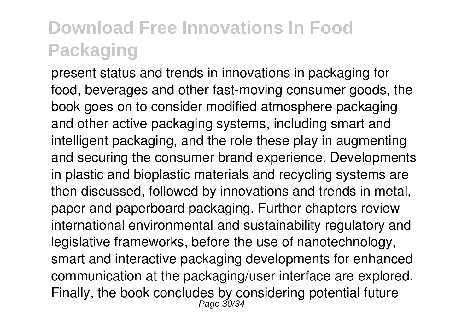present status and trends in innovations in packaging for food, beverages and other fast-moving consumer goods, the book goes on to consider modified atmosphere packaging and other active packaging systems, including smart and intelligent packaging, and the role these play in augmenting and securing the consumer brand experience. Developments in plastic and bioplastic materials and recycling systems are then discussed, followed by innovations and trends in metal, paper and paperboard packaging. Further chapters review international environmental and sustainability regulatory and legislative frameworks, before the use of nanotechnology, smart and interactive packaging developments for enhanced communication at the packaging/user interface are explored. Finally, the book concludes by considering potential future<br> $P_{\text{age}}$  30/34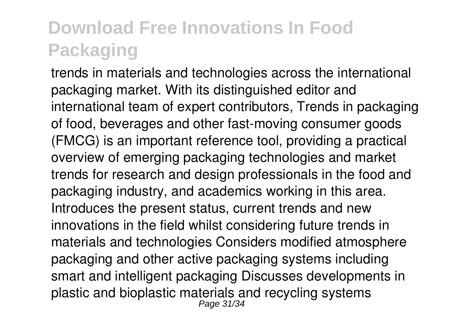trends in materials and technologies across the international packaging market. With its distinguished editor and international team of expert contributors, Trends in packaging of food, beverages and other fast-moving consumer goods (FMCG) is an important reference tool, providing a practical overview of emerging packaging technologies and market trends for research and design professionals in the food and packaging industry, and academics working in this area. Introduces the present status, current trends and new innovations in the field whilst considering future trends in materials and technologies Considers modified atmosphere packaging and other active packaging systems including smart and intelligent packaging Discusses developments in plastic and bioplastic materials and recycling systems Page 31/34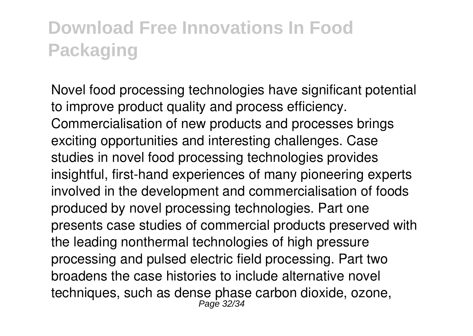Novel food processing technologies have significant potential to improve product quality and process efficiency. Commercialisation of new products and processes brings exciting opportunities and interesting challenges. Case studies in novel food processing technologies provides insightful, first-hand experiences of many pioneering experts involved in the development and commercialisation of foods produced by novel processing technologies. Part one presents case studies of commercial products preserved with the leading nonthermal technologies of high pressure processing and pulsed electric field processing. Part two broadens the case histories to include alternative novel techniques, such as dense phase carbon dioxide, ozone,<br>Page 32/34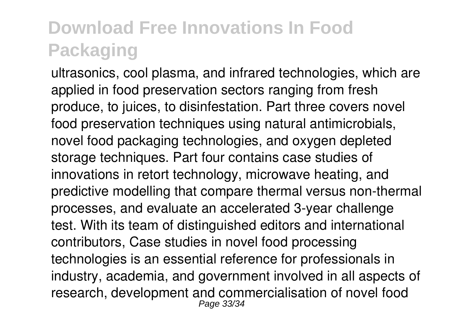ultrasonics, cool plasma, and infrared technologies, which are applied in food preservation sectors ranging from fresh produce, to juices, to disinfestation. Part three covers novel food preservation techniques using natural antimicrobials, novel food packaging technologies, and oxygen depleted storage techniques. Part four contains case studies of innovations in retort technology, microwave heating, and predictive modelling that compare thermal versus non-thermal processes, and evaluate an accelerated 3-year challenge test. With its team of distinguished editors and international contributors, Case studies in novel food processing technologies is an essential reference for professionals in industry, academia, and government involved in all aspects of research, development and commercialisation of novel food Page 33/34